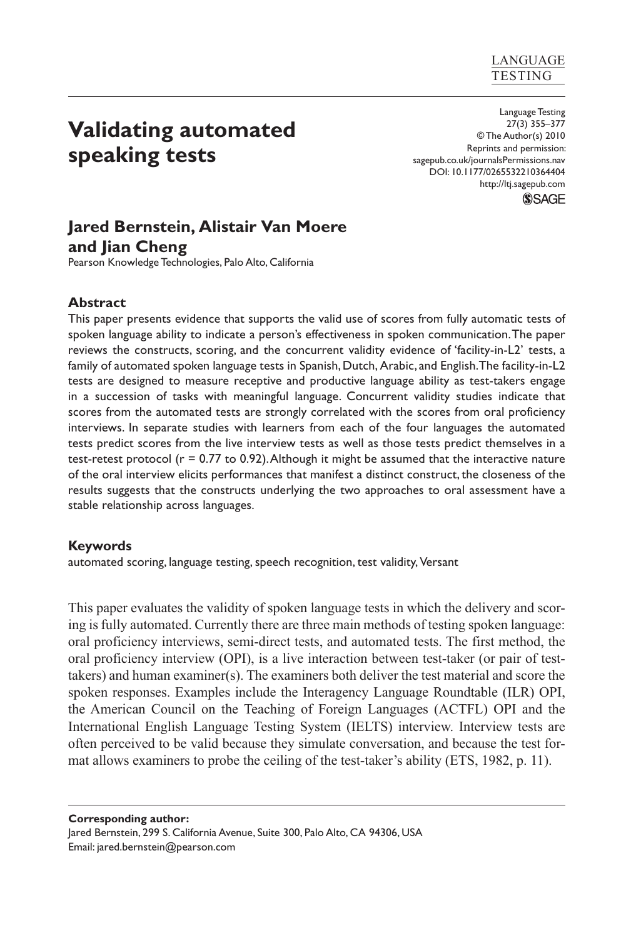# **Validating automated speaking tests**

Language Testing 27(3) 355–377 © The Author(s) 2010 Reprints and permission: sagepub.co.uk/journalsPermissions.nav DOI: 10.1177/0265532210364404 http://ltj.sagepub.com **SSAGE** 

## **Jared Bernstein, Alistair Van Moere and Jian Cheng**

Pearson Knowledge Technologies, Palo Alto, California

### **Abstract**

This paper presents evidence that supports the valid use of scores from fully automatic tests of spoken language ability to indicate a person's effectiveness in spoken communication. The paper reviews the constructs, scoring, and the concurrent validity evidence of 'facility-in-L2' tests, a family of automated spoken language tests in Spanish, Dutch, Arabic, and English. The facility-in-L2 tests are designed to measure receptive and productive language ability as test-takers engage in a succession of tasks with meaningful language. Concurrent validity studies indicate that scores from the automated tests are strongly correlated with the scores from oral proficiency interviews. In separate studies with learners from each of the four languages the automated tests predict scores from the live interview tests as well as those tests predict themselves in a test-retest protocol (r = 0.77 to 0.92). Although it might be assumed that the interactive nature of the oral interview elicits performances that manifest a distinct construct, the closeness of the results suggests that the constructs underlying the two approaches to oral assessment have a stable relationship across languages.

### **Keywords**

automated scoring, language testing, speech recognition, test validity, Versant

This paper evaluates the validity of spoken language tests in which the delivery and scoring is fully automated. Currently there are three main methods of testing spoken language: oral proficiency interviews, semi-direct tests, and automated tests. The first method, the oral proficiency interview (OPI), is a live interaction between test-taker (or pair of testtakers) and human examiner(s). The examiners both deliver the test material and score the spoken responses. Examples include the Interagency Language Roundtable (ILR) OPI, the American Council on the Teaching of Foreign Languages (ACTFL) OPI and the International English Language Testing System (IELTS) interview. Interview tests are often perceived to be valid because they simulate conversation, and because the test format allows examiners to probe the ceiling of the test-taker's ability (ETS, 1982, p. 11).

**Corresponding author:** Jared Bernstein, 299 S. California Avenue, Suite 300, Palo Alto, CA 94306, USA Email: jared.bernstein@pearson.com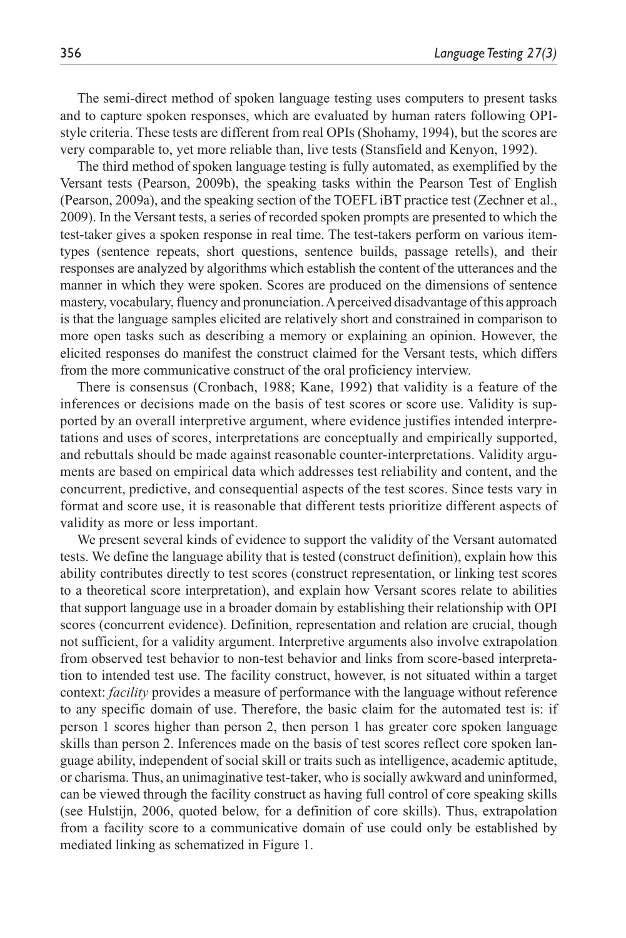The semi-direct method of spoken language testing uses computers to present tasks and to capture spoken responses, which are evaluated by human raters following OPIstyle criteria. These tests are different from real OPIs (Shohamy, 1994), but the scores are very comparable to, yet more reliable than, live tests (Stansfield and Kenyon, 1992).

The third method of spoken language testing is fully automated, as exemplified by the Versant tests (Pearson, 2009b), the speaking tasks within the Pearson Test of English (Pearson, 2009a), and the speaking section of the TOEFL iBT practice test (Zechner et al., 2009). In the Versant tests, a series of recorded spoken prompts are presented to which the test-taker gives a spoken response in real time. The test-takers perform on various itemtypes (sentence repeats, short questions, sentence builds, passage retells), and their responses are analyzed by algorithms which establish the content of the utterances and the manner in which they were spoken. Scores are produced on the dimensions of sentence mastery, vocabulary, fluency and pronunciation. A perceived disadvantage of this approach is that the language samples elicited are relatively short and constrained in comparison to more open tasks such as describing a memory or explaining an opinion. However, the elicited responses do manifest the construct claimed for the Versant tests, which differs from the more communicative construct of the oral proficiency interview.

There is consensus (Cronbach, 1988; Kane, 1992) that validity is a feature of the inferences or decisions made on the basis of test scores or score use. Validity is supported by an overall interpretive argument, where evidence justifies intended interpretations and uses of scores, interpretations are conceptually and empirically supported, and rebuttals should be made against reasonable counter-interpretations. Validity arguments are based on empirical data which addresses test reliability and content, and the concurrent, predictive, and consequential aspects of the test scores. Since tests vary in format and score use, it is reasonable that different tests prioritize different aspects of validity as more or less important.

We present several kinds of evidence to support the validity of the Versant automated tests. We define the language ability that is tested (construct definition), explain how this ability contributes directly to test scores (construct representation, or linking test scores to a theoretical score interpretation), and explain how Versant scores relate to abilities that support language use in a broader domain by establishing their relationship with OPI scores (concurrent evidence). Definition, representation and relation are crucial, though not sufficient, for a validity argument. Interpretive arguments also involve extrapolation from observed test behavior to non-test behavior and links from score-based interpretation to intended test use. The facility construct, however, is not situated within a target context: *facility* provides a measure of performance with the language without reference to any specific domain of use. Therefore, the basic claim for the automated test is: if person 1 scores higher than person 2, then person 1 has greater core spoken language skills than person 2. Inferences made on the basis of test scores reflect core spoken language ability, independent of social skill or traits such as intelligence, academic aptitude, or charisma. Thus, an unimaginative test-taker, who is socially awkward and uninformed, can be viewed through the facility construct as having full control of core speaking skills (see Hulstijn, 2006, quoted below, for a definition of core skills). Thus, extrapolation from a facility score to a communicative domain of use could only be established by mediated linking as schematized in Figure 1.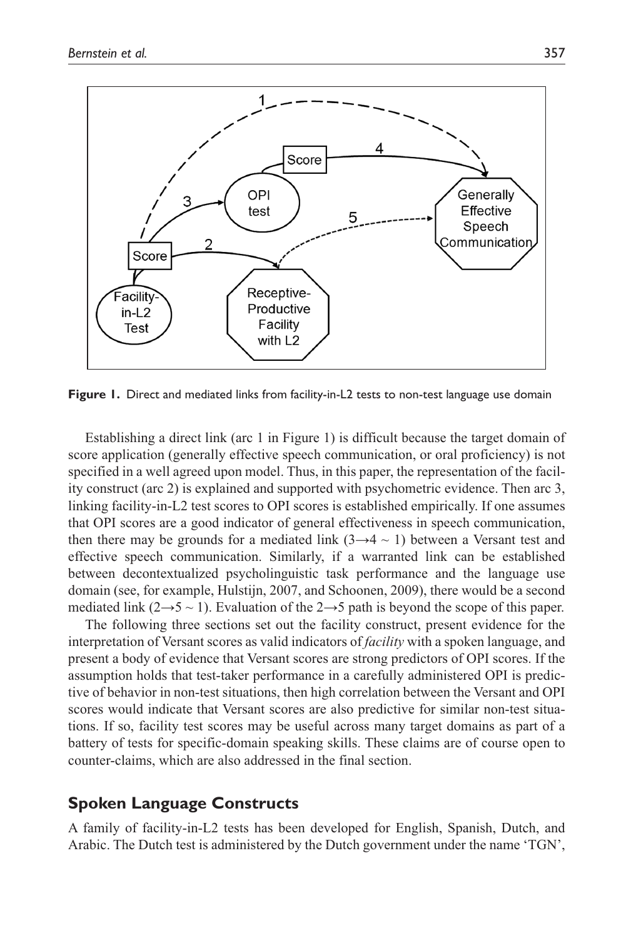

**Figure 1.** Direct and mediated links from facility-in-L2 tests to non-test language use domain

Establishing a direct link (arc 1 in Figure 1) is difficult because the target domain of score application (generally effective speech communication, or oral proficiency) is not specified in a well agreed upon model. Thus, in this paper, the representation of the facility construct (arc 2) is explained and supported with psychometric evidence. Then arc 3, linking facility-in-L2 test scores to OPI scores is established empirically. If one assumes that OPI scores are a good indicator of general effectiveness in speech communication, then there may be grounds for a mediated link  $(3\rightarrow4\sim1)$  between a Versant test and effective speech communication. Similarly, if a warranted link can be established between decontextualized psycholinguistic task performance and the language use domain (see, for example, Hulstijn, 2007, and Schoonen, 2009), there would be a second mediated link  $(2\rightarrow 5 \sim 1)$ . Evaluation of the  $2\rightarrow 5$  path is beyond the scope of this paper.

The following three sections set out the facility construct, present evidence for the interpretation of Versant scores as valid indicators of *facility* with a spoken language, and present a body of evidence that Versant scores are strong predictors of OPI scores. If the assumption holds that test-taker performance in a carefully administered OPI is predictive of behavior in non-test situations, then high correlation between the Versant and OPI scores would indicate that Versant scores are also predictive for similar non-test situations. If so, facility test scores may be useful across many target domains as part of a battery of tests for specific-domain speaking skills. These claims are of course open to counter-claims, which are also addressed in the final section.

### **Spoken Language Constructs**

A family of facility-in-L2 tests has been developed for English, Spanish, Dutch, and Arabic. The Dutch test is administered by the Dutch government under the name 'TGN',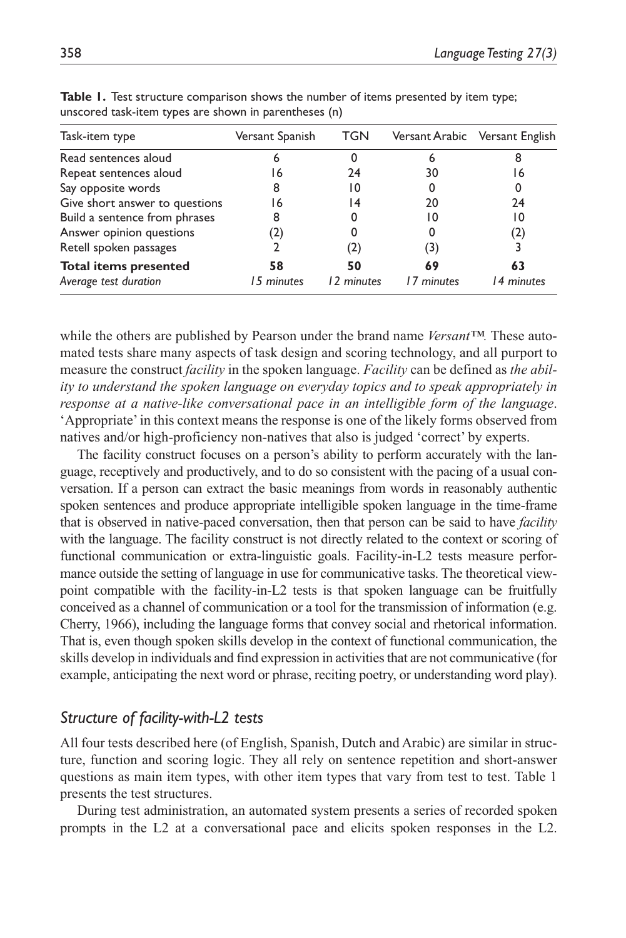| Versant Spanish | TGN        |             | Versant Arabic Versant English |
|-----------------|------------|-------------|--------------------------------|
| 6               |            |             |                                |
| 16              | 24         | 30          | 16                             |
| 8               | 10         | 0           |                                |
| 16              | 14         | 20          | 24                             |
| 8               |            | 10          | 10                             |
| (2)             | 0          | 0           | (2)                            |
|                 | (2)        | (3)         |                                |
| 58              | 50         | 69          | 63                             |
| 15 minutes      | 12 minutes | l 7 minutes | 14 minutes                     |
|                 |            |             |                                |

**Table 1.** Test structure comparison shows the number of items presented by item type; unscored task-item types are shown in parentheses (n)

while the others are published by Pearson under the brand name *Versant™.* These automated tests share many aspects of task design and scoring technology, and all purport to measure the construct *facility* in the spoken language. *Facility* can be defined as *the ability to understand the spoken language on everyday topics and to speak appropriately in response at a native-like conversational pace in an intelligible form of the language*. 'Appropriate' in this context means the response is one of the likely forms observed from natives and/or high-proficiency non-natives that also is judged 'correct' by experts.

The facility construct focuses on a person's ability to perform accurately with the language, receptively and productively, and to do so consistent with the pacing of a usual conversation. If a person can extract the basic meanings from words in reasonably authentic spoken sentences and produce appropriate intelligible spoken language in the time-frame that is observed in native-paced conversation, then that person can be said to have *facility* with the language. The facility construct is not directly related to the context or scoring of functional communication or extra-linguistic goals. Facility-in-L2 tests measure performance outside the setting of language in use for communicative tasks. The theoretical viewpoint compatible with the facility-in-L2 tests is that spoken language can be fruitfully conceived as a channel of communication or a tool for the transmission of information (e.g. Cherry, 1966), including the language forms that convey social and rhetorical information. That is, even though spoken skills develop in the context of functional communication, the skills develop in individuals and find expression in activities that are not communicative (for example, anticipating the next word or phrase, reciting poetry, or understanding word play).

### *Structure of facility-with-L2 tests*

All four tests described here (of English, Spanish, Dutch and Arabic) are similar in structure, function and scoring logic. They all rely on sentence repetition and short-answer questions as main item types, with other item types that vary from test to test. Table 1 presents the test structures.

During test administration, an automated system presents a series of recorded spoken prompts in the L2 at a conversational pace and elicits spoken responses in the L2.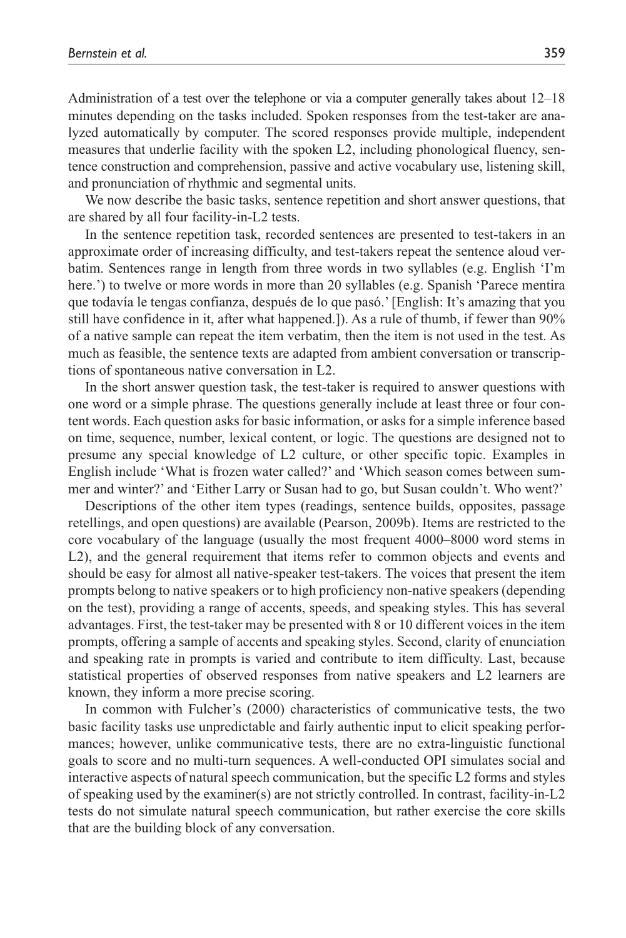Administration of a test over the telephone or via a computer generally takes about 12–18 minutes depending on the tasks included. Spoken responses from the test-taker are analyzed automatically by computer. The scored responses provide multiple, independent measures that underlie facility with the spoken L2, including phonological fluency, sentence construction and comprehension, passive and active vocabulary use, listening skill, and pronunciation of rhythmic and segmental units.

We now describe the basic tasks, sentence repetition and short answer questions, that are shared by all four facility-in-L2 tests.

In the sentence repetition task, recorded sentences are presented to test-takers in an approximate order of increasing difficulty, and test-takers repeat the sentence aloud verbatim. Sentences range in length from three words in two syllables (e.g. English 'I'm here.') to twelve or more words in more than 20 syllables (e.g. Spanish 'Parece mentira que todavía le tengas confianza, después de lo que pasó.' [English: It's amazing that you still have confidence in it, after what happened.]). As a rule of thumb, if fewer than 90% of a native sample can repeat the item verbatim, then the item is not used in the test. As much as feasible, the sentence texts are adapted from ambient conversation or transcriptions of spontaneous native conversation in L2.

In the short answer question task, the test-taker is required to answer questions with one word or a simple phrase. The questions generally include at least three or four content words. Each question asks for basic information, or asks for a simple inference based on time, sequence, number, lexical content, or logic. The questions are designed not to presume any special knowledge of L2 culture, or other specific topic. Examples in English include 'What is frozen water called?' and 'Which season comes between summer and winter?' and 'Either Larry or Susan had to go, but Susan couldn't. Who went?'

Descriptions of the other item types (readings, sentence builds, opposites, passage retellings, and open questions) are available (Pearson, 2009b). Items are restricted to the core vocabulary of the language (usually the most frequent 4000–8000 word stems in L2), and the general requirement that items refer to common objects and events and should be easy for almost all native-speaker test-takers. The voices that present the item prompts belong to native speakers or to high proficiency non-native speakers (depending on the test), providing a range of accents, speeds, and speaking styles. This has several advantages. First, the test-taker may be presented with 8 or 10 different voices in the item prompts, offering a sample of accents and speaking styles. Second, clarity of enunciation and speaking rate in prompts is varied and contribute to item difficulty. Last, because statistical properties of observed responses from native speakers and L2 learners are known, they inform a more precise scoring.

In common with Fulcher's (2000) characteristics of communicative tests, the two basic facility tasks use unpredictable and fairly authentic input to elicit speaking performances; however, unlike communicative tests, there are no extra-linguistic functional goals to score and no multi-turn sequences. A well-conducted OPI simulates social and interactive aspects of natural speech communication, but the specific L2 forms and styles of speaking used by the examiner(s) are not strictly controlled. In contrast, facility-in-L2 tests do not simulate natural speech communication, but rather exercise the core skills that are the building block of any conversation.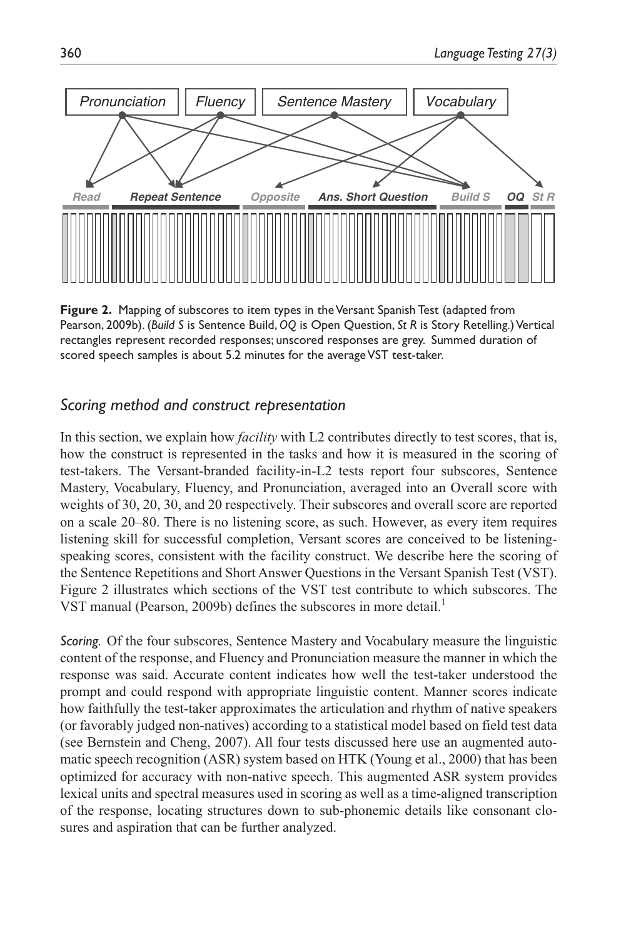

**Figure 2.** Mapping of subscores to item types in the Versant Spanish Test (adapted from Pearson, 2009b). (*Build S* is Sentence Build, *OQ* is Open Question, *St R* is Story Retelling.) Vertical rectangles represent recorded responses; unscored responses are grey. Summed duration of scored speech samples is about 5.2 minutes for the average VST test-taker.

### *Scoring method and construct representation*

In this section, we explain how *facility* with L2 contributes directly to test scores, that is, how the construct is represented in the tasks and how it is measured in the scoring of test-takers. The Versant-branded facility-in-L2 tests report four subscores, Sentence Mastery, Vocabulary, Fluency, and Pronunciation, averaged into an Overall score with weights of 30, 20, 30, and 20 respectively. Their subscores and overall score are reported on a scale 20–80. There is no listening score, as such. However, as every item requires listening skill for successful completion, Versant scores are conceived to be listeningspeaking scores, consistent with the facility construct. We describe here the scoring of the Sentence Repetitions and Short Answer Questions in the Versant Spanish Test (VST). Figure 2 illustrates which sections of the VST test contribute to which subscores. The VST manual (Pearson, 2009b) defines the subscores in more detail.<sup>1</sup>

*Scoring.* Of the four subscores, Sentence Mastery and Vocabulary measure the linguistic content of the response, and Fluency and Pronunciation measure the manner in which the response was said. Accurate content indicates how well the test-taker understood the prompt and could respond with appropriate linguistic content. Manner scores indicate how faithfully the test-taker approximates the articulation and rhythm of native speakers (or favorably judged non-natives) according to a statistical model based on field test data (see Bernstein and Cheng, 2007). All four tests discussed here use an augmented automatic speech recognition (ASR) system based on HTK (Young et al., 2000) that has been optimized for accuracy with non-native speech. This augmented ASR system provides lexical units and spectral measures used in scoring as well as a time-aligned transcription of the response, locating structures down to sub-phonemic details like consonant closures and aspiration that can be further analyzed.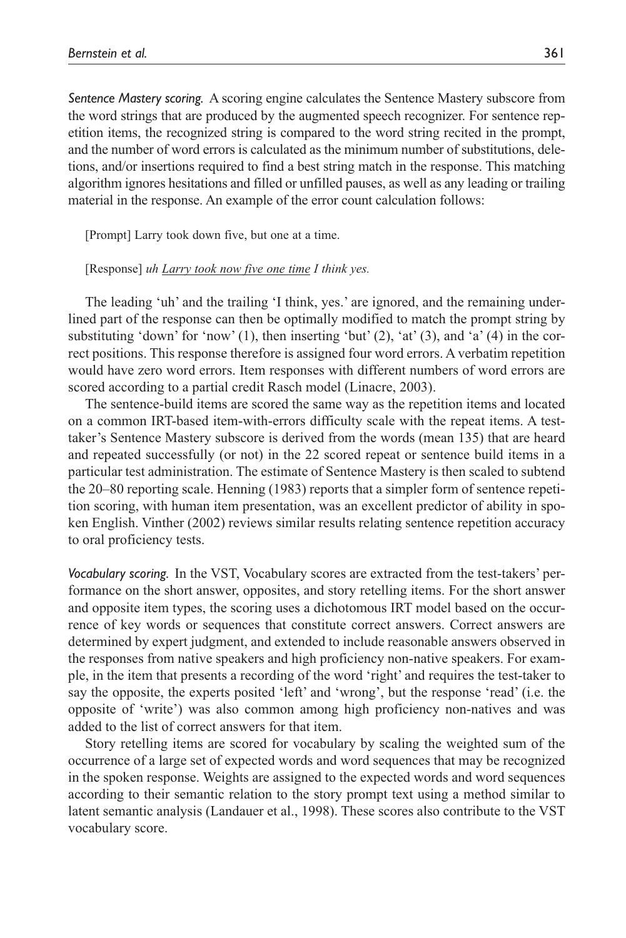*Sentence Mastery scoring.* A scoring engine calculates the Sentence Mastery subscore from the word strings that are produced by the augmented speech recognizer. For sentence repetition items, the recognized string is compared to the word string recited in the prompt, and the number of word errors is calculated as the minimum number of substitutions, deletions, and/or insertions required to find a best string match in the response. This matching algorithm ignores hesitations and filled or unfilled pauses, as well as any leading or trailing material in the response. An example of the error count calculation follows:

[Prompt] Larry took down five, but one at a time.

[Response] *uh Larry took now five one time I think yes.*

The leading 'uh' and the trailing 'I think, yes.' are ignored, and the remaining underlined part of the response can then be optimally modified to match the prompt string by substituting 'down' for 'now'  $(1)$ , then inserting 'but'  $(2)$ , 'at'  $(3)$ , and 'a'  $(4)$  in the correct positions. This response therefore is assigned four word errors. A verbatim repetition would have zero word errors. Item responses with different numbers of word errors are scored according to a partial credit Rasch model (Linacre, 2003).

The sentence-build items are scored the same way as the repetition items and located on a common IRT-based item-with-errors difficulty scale with the repeat items. A testtaker's Sentence Mastery subscore is derived from the words (mean 135) that are heard and repeated successfully (or not) in the 22 scored repeat or sentence build items in a particular test administration. The estimate of Sentence Mastery is then scaled to subtend the 20–80 reporting scale. Henning (1983) reports that a simpler form of sentence repetition scoring, with human item presentation, was an excellent predictor of ability in spoken English. Vinther (2002) reviews similar results relating sentence repetition accuracy to oral proficiency tests.

*Vocabulary scoring.* In the VST, Vocabulary scores are extracted from the test-takers' performance on the short answer, opposites, and story retelling items. For the short answer and opposite item types, the scoring uses a dichotomous IRT model based on the occurrence of key words or sequences that constitute correct answers. Correct answers are determined by expert judgment, and extended to include reasonable answers observed in the responses from native speakers and high proficiency non-native speakers. For example, in the item that presents a recording of the word 'right' and requires the test-taker to say the opposite, the experts posited 'left' and 'wrong', but the response 'read' (i.e. the opposite of 'write') was also common among high proficiency non-natives and was added to the list of correct answers for that item.

Story retelling items are scored for vocabulary by scaling the weighted sum of the occurrence of a large set of expected words and word sequences that may be recognized in the spoken response. Weights are assigned to the expected words and word sequences according to their semantic relation to the story prompt text using a method similar to latent semantic analysis (Landauer et al., 1998). These scores also contribute to the VST vocabulary score.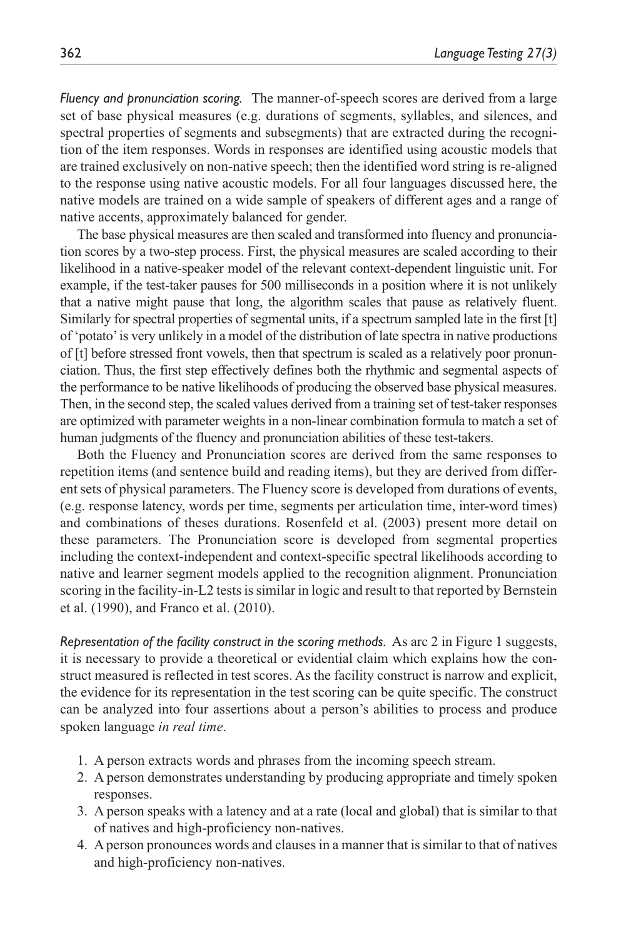*Fluency and pronunciation scoring.* The manner-of-speech scores are derived from a large set of base physical measures (e.g. durations of segments, syllables, and silences, and spectral properties of segments and subsegments) that are extracted during the recognition of the item responses. Words in responses are identified using acoustic models that are trained exclusively on non-native speech; then the identified word string is re-aligned to the response using native acoustic models. For all four languages discussed here, the native models are trained on a wide sample of speakers of different ages and a range of native accents, approximately balanced for gender.

The base physical measures are then scaled and transformed into fluency and pronunciation scores by a two-step process. First, the physical measures are scaled according to their likelihood in a native-speaker model of the relevant context-dependent linguistic unit. For example, if the test-taker pauses for 500 milliseconds in a position where it is not unlikely that a native might pause that long, the algorithm scales that pause as relatively fluent. Similarly for spectral properties of segmental units, if a spectrum sampled late in the first [t] of 'potato' is very unlikely in a model of the distribution of late spectra in native productions of [t] before stressed front vowels, then that spectrum is scaled as a relatively poor pronunciation. Thus, the first step effectively defines both the rhythmic and segmental aspects of the performance to be native likelihoods of producing the observed base physical measures. Then, in the second step, the scaled values derived from a training set of test-taker responses are optimized with parameter weights in a non-linear combination formula to match a set of human judgments of the fluency and pronunciation abilities of these test-takers.

Both the Fluency and Pronunciation scores are derived from the same responses to repetition items (and sentence build and reading items), but they are derived from different sets of physical parameters. The Fluency score is developed from durations of events, (e.g. response latency, words per time, segments per articulation time, inter-word times) and combinations of theses durations. Rosenfeld et al. (2003) present more detail on these parameters. The Pronunciation score is developed from segmental properties including the context-independent and context-specific spectral likelihoods according to native and learner segment models applied to the recognition alignment. Pronunciation scoring in the facility-in-L2 tests is similar in logic and result to that reported by Bernstein et al. (1990), and Franco et al. (2010).

*Representation of the facility construct in the scoring methods.* As arc 2 in Figure 1 suggests, it is necessary to provide a theoretical or evidential claim which explains how the construct measured is reflected in test scores. As the facility construct is narrow and explicit, the evidence for its representation in the test scoring can be quite specific. The construct can be analyzed into four assertions about a person's abilities to process and produce spoken language *in real time*.

- 1. A person extracts words and phrases from the incoming speech stream.
- 2. A person demonstrates understanding by producing appropriate and timely spoken responses.
- 3. A person speaks with a latency and at a rate (local and global) that is similar to that of natives and high-proficiency non-natives.
- 4. A person pronounces words and clauses in a manner that is similar to that of natives and high-proficiency non-natives.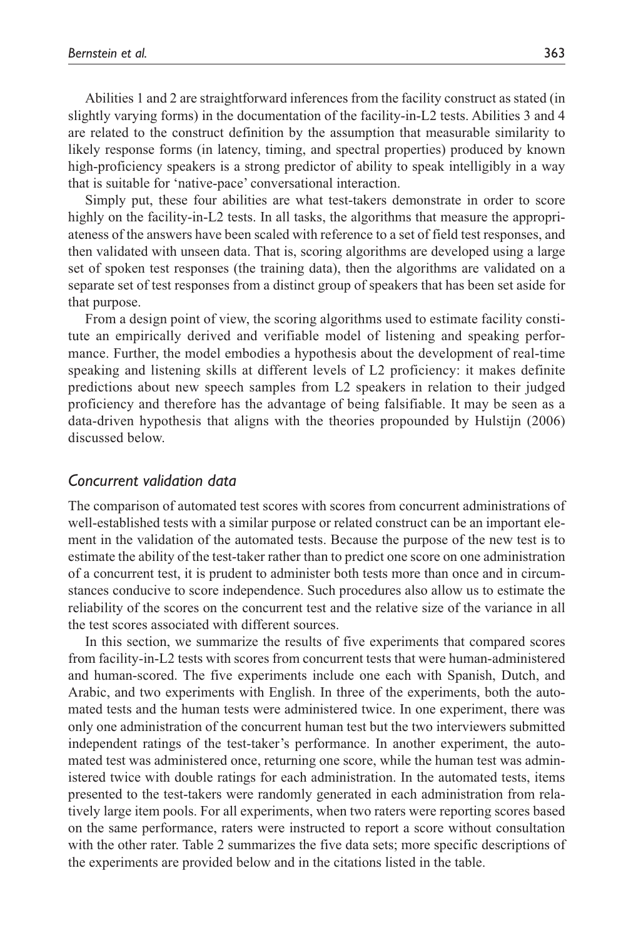Abilities 1 and 2 are straightforward inferences from the facility construct as stated (in slightly varying forms) in the documentation of the facility-in-L2 tests. Abilities 3 and 4 are related to the construct definition by the assumption that measurable similarity to likely response forms (in latency, timing, and spectral properties) produced by known high-proficiency speakers is a strong predictor of ability to speak intelligibly in a way that is suitable for 'native-pace' conversational interaction.

Simply put, these four abilities are what test-takers demonstrate in order to score highly on the facility-in-L<sub>2</sub> tests. In all tasks, the algorithms that measure the appropriateness of the answers have been scaled with reference to a set of field test responses, and then validated with unseen data. That is, scoring algorithms are developed using a large set of spoken test responses (the training data), then the algorithms are validated on a separate set of test responses from a distinct group of speakers that has been set aside for that purpose.

From a design point of view, the scoring algorithms used to estimate facility constitute an empirically derived and verifiable model of listening and speaking performance. Further, the model embodies a hypothesis about the development of real-time speaking and listening skills at different levels of L2 proficiency: it makes definite predictions about new speech samples from L2 speakers in relation to their judged proficiency and therefore has the advantage of being falsifiable. It may be seen as a data-driven hypothesis that aligns with the theories propounded by Hulstijn (2006) discussed below.

### *Concurrent validation data*

The comparison of automated test scores with scores from concurrent administrations of well-established tests with a similar purpose or related construct can be an important element in the validation of the automated tests. Because the purpose of the new test is to estimate the ability of the test-taker rather than to predict one score on one administration of a concurrent test, it is prudent to administer both tests more than once and in circumstances conducive to score independence. Such procedures also allow us to estimate the reliability of the scores on the concurrent test and the relative size of the variance in all the test scores associated with different sources.

In this section, we summarize the results of five experiments that compared scores from facility-in-L2 tests with scores from concurrent tests that were human-administered and human-scored. The five experiments include one each with Spanish, Dutch, and Arabic, and two experiments with English. In three of the experiments, both the automated tests and the human tests were administered twice. In one experiment, there was only one administration of the concurrent human test but the two interviewers submitted independent ratings of the test-taker's performance. In another experiment, the automated test was administered once, returning one score, while the human test was administered twice with double ratings for each administration. In the automated tests, items presented to the test-takers were randomly generated in each administration from relatively large item pools. For all experiments, when two raters were reporting scores based on the same performance, raters were instructed to report a score without consultation with the other rater. Table 2 summarizes the five data sets; more specific descriptions of the experiments are provided below and in the citations listed in the table.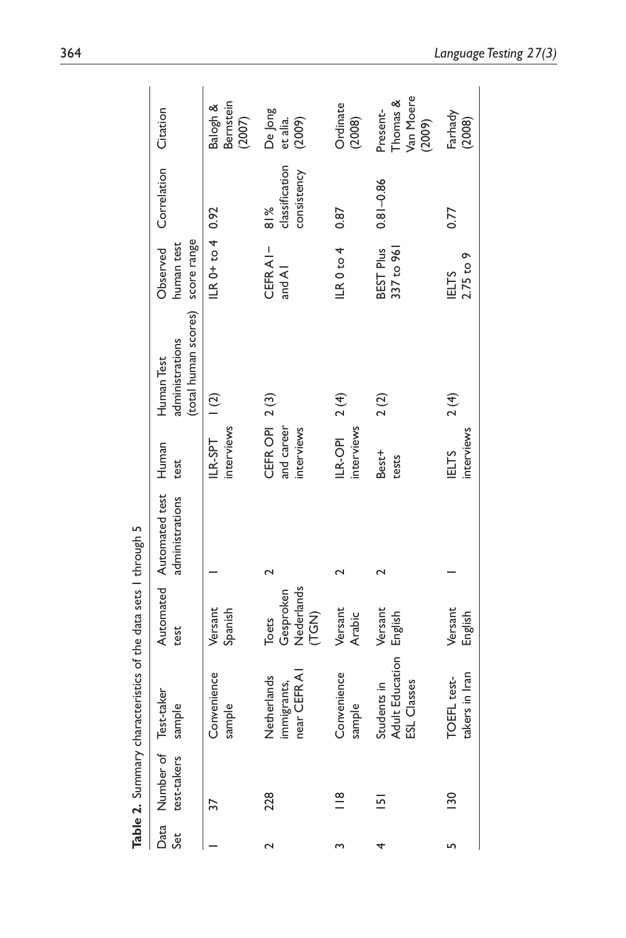|   |                                              | Table 2. Summary characteristics of the data sets I through 5 |                                           |                                   |                                            |                                                       |                                       |                                                |                                             |
|---|----------------------------------------------|---------------------------------------------------------------|-------------------------------------------|-----------------------------------|--------------------------------------------|-------------------------------------------------------|---------------------------------------|------------------------------------------------|---------------------------------------------|
|   | Data Number of Test-taker<br>Set test-takers | sample                                                        | Automated<br>test                         | Automated test<br>administrations | Human<br>test                              | (total human scores)<br>administrations<br>Human Test | score range<br>human test<br>Observed | Correlation                                    | Citation                                    |
|   | 57                                           | Convenience<br>sample                                         | Versant<br>Spanish                        |                                   | interviews<br>ILR-SPT                      | (2)                                                   | ILR 0+ to 4 0.92                      |                                                | Bernstein<br>Balogh &<br>(2007)             |
| 2 | 228                                          | near CEFRAI<br>Netherlands<br>immigrants,                     | Nederlands<br>Gesproken<br>(TGN)<br>Toets | $\mathbf 2$                       | CEFR OPI 2 (3)<br>and career<br>interviews |                                                       | CEFRAI-<br>and $AI$                   | classification<br>consistency<br>$\frac{8}{6}$ | De Jong<br>et alia.<br>(2009)               |
| ς | $\frac{8}{1}$                                | Convenience<br>sample                                         | Versant<br>Arabic                         |                                   | ILR-OPI $2(4)$<br>interviews               |                                                       | ILR 0 to 4                            | 0.87                                           | Ordinate<br>(2008)                          |
| 4 | $\overline{5}$                               | Students in<br>Adult Education<br>ESL Classes                 | Versant<br>English                        |                                   | Best <sup>+</sup><br>tests                 | 2(2)                                                  | BEST Plus<br>337 to 96                | $0.81 - 0.86$                                  | Van Moere<br>Thomas &<br>Present-<br>(2009) |
| 5 | $\frac{8}{2}$                                | takers in Iran<br><b>IEFL</b> test-<br>ဥ                      | Versant<br>English                        |                                   | interviews<br><b>IELTS</b>                 | 2(4)                                                  | $2.75$ to 9<br><b>IELTS</b>           | 0.77                                           | Farhady<br>(2008)                           |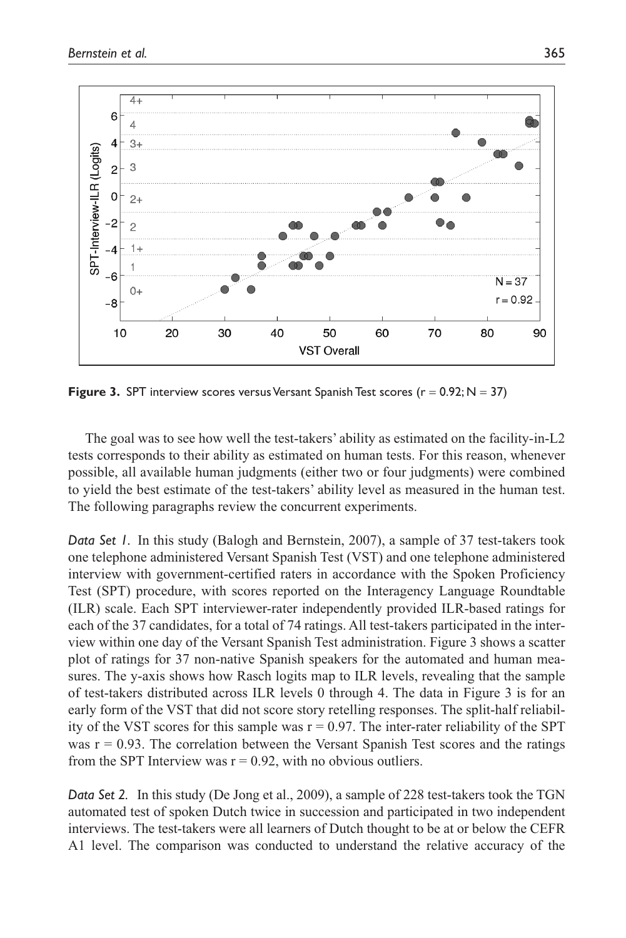

**Figure 3.** SPT interview scores versus Versant Spanish Test scores ( $r = 0.92$ ;  $N = 37$ )

The goal was to see how well the test-takers' ability as estimated on the facility-in-L2 tests corresponds to their ability as estimated on human tests. For this reason, whenever possible, all available human judgments (either two or four judgments) were combined to yield the best estimate of the test-takers' ability level as measured in the human test. The following paragraphs review the concurrent experiments.

*Data Set 1.* In this study (Balogh and Bernstein, 2007), a sample of 37 test-takers took one telephone administered Versant Spanish Test (VST) and one telephone administered interview with government-certified raters in accordance with the Spoken Proficiency Test (SPT) procedure, with scores reported on the Interagency Language Roundtable (ILR) scale. Each SPT interviewer-rater independently provided ILR-based ratings for each of the 37 candidates, for a total of 74 ratings. All test-takers participated in the interview within one day of the Versant Spanish Test administration. Figure 3 shows a scatter plot of ratings for 37 non-native Spanish speakers for the automated and human measures. The y-axis shows how Rasch logits map to ILR levels, revealing that the sample of test-takers distributed across ILR levels 0 through 4. The data in Figure 3 is for an early form of the VST that did not score story retelling responses. The split-half reliability of the VST scores for this sample was  $r = 0.97$ . The inter-rater reliability of the SPT was  $r = 0.93$ . The correlation between the Versant Spanish Test scores and the ratings from the SPT Interview was  $r = 0.92$ , with no obvious outliers.

*Data Set 2.* In this study (De Jong et al., 2009), a sample of 228 test-takers took the TGN automated test of spoken Dutch twice in succession and participated in two independent interviews. The test-takers were all learners of Dutch thought to be at or below the CEFR A1 level. The comparison was conducted to understand the relative accuracy of the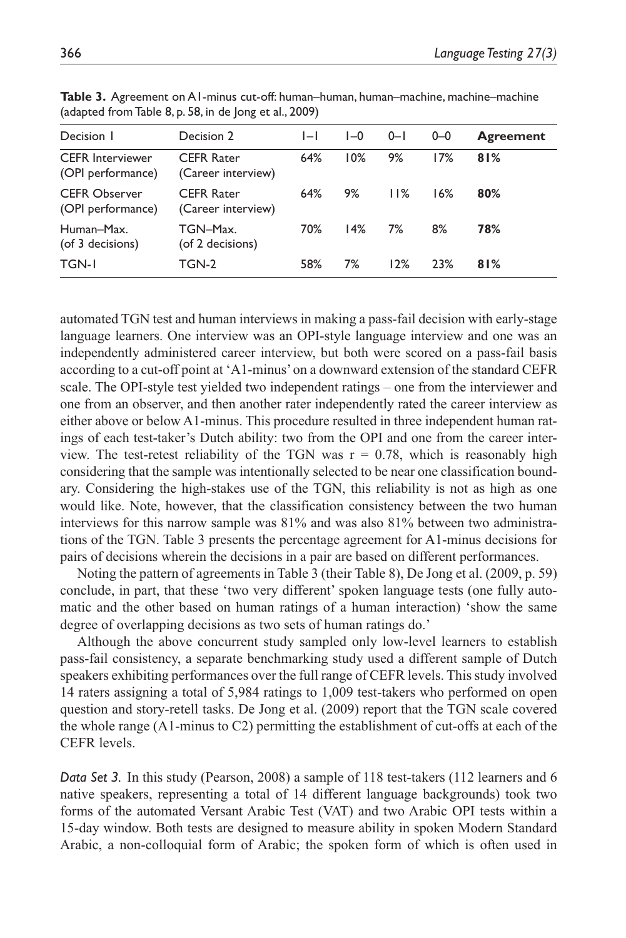| Decision 1                                   | Decision 2                              | $I-I$ | $I-0$ | $0 - 1$ | $0 - 0$ | <b>Agreement</b> |
|----------------------------------------------|-----------------------------------------|-------|-------|---------|---------|------------------|
| <b>CEFR</b> Interviewer<br>(OPI performance) | <b>CEFR Rater</b><br>(Career interview) | 64%   | 10%   | 9%      | 17%     | 81%              |
| <b>CEFR Observer</b><br>(OPI performance)    | <b>CEFR Rater</b><br>(Career interview) | 64%   | 9%    | 11%     | 16%     | 80%              |
| Human-Max.<br>(of 3 decisions)               | TGN-Max.<br>(of 2 decisions)            | 70%   | 14%   | 7%      | 8%      | 78%              |
| <b>TGN-I</b>                                 | TGN-2                                   | 58%   | 7%    | 12%     | 23%     | 81%              |

**Table 3.** Agreement on A1-minus cut-off: human–human, human–machine, machine–machine (adapted from Table 8, p. 58, in de Jong et al., 2009)

automated TGN test and human interviews in making a pass-fail decision with early-stage language learners. One interview was an OPI-style language interview and one was an independently administered career interview, but both were scored on a pass-fail basis according to a cut-off point at 'A1-minus' on a downward extension of the standard CEFR scale. The OPI-style test yielded two independent ratings – one from the interviewer and one from an observer, and then another rater independently rated the career interview as either above or below A1-minus. This procedure resulted in three independent human ratings of each test-taker's Dutch ability: two from the OPI and one from the career interview. The test-retest reliability of the TGN was  $r = 0.78$ , which is reasonably high considering that the sample was intentionally selected to be near one classification boundary. Considering the high-stakes use of the TGN, this reliability is not as high as one would like. Note, however, that the classification consistency between the two human interviews for this narrow sample was 81% and was also 81% between two administrations of the TGN. Table 3 presents the percentage agreement for A1-minus decisions for pairs of decisions wherein the decisions in a pair are based on different performances.

Noting the pattern of agreements in Table 3 (their Table 8), De Jong et al. (2009, p. 59) conclude, in part, that these 'two very different' spoken language tests (one fully automatic and the other based on human ratings of a human interaction) 'show the same degree of overlapping decisions as two sets of human ratings do.'

Although the above concurrent study sampled only low-level learners to establish pass-fail consistency, a separate benchmarking study used a different sample of Dutch speakers exhibiting performances over the full range of CEFR levels. This study involved 14 raters assigning a total of 5,984 ratings to 1,009 test-takers who performed on open question and story-retell tasks. De Jong et al. (2009) report that the TGN scale covered the whole range (A1-minus to C2) permitting the establishment of cut-offs at each of the CEFR levels.

*Data Set 3.* In this study (Pearson, 2008) a sample of 118 test-takers (112 learners and 6 native speakers, representing a total of 14 different language backgrounds) took two forms of the automated Versant Arabic Test (VAT) and two Arabic OPI tests within a 15-day window. Both tests are designed to measure ability in spoken Modern Standard Arabic, a non-colloquial form of Arabic; the spoken form of which is often used in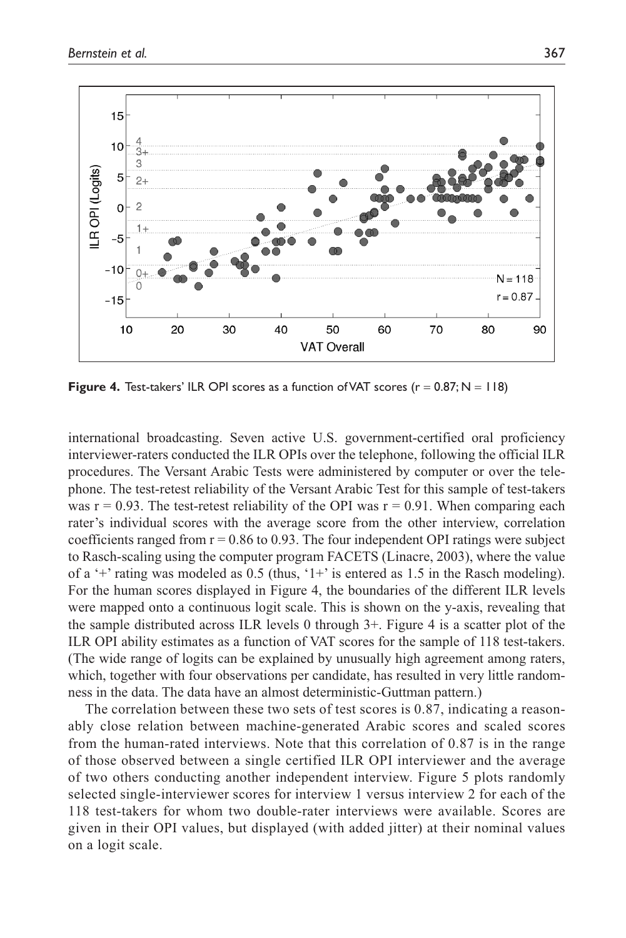

**Figure 4.** Test-takers' ILR OPI scores as a function of VAT scores  $(r = 0.87; N = 118)$ 

international broadcasting. Seven active U.S. government-certified oral proficiency interviewer-raters conducted the ILR OPIs over the telephone, following the official ILR procedures. The Versant Arabic Tests were administered by computer or over the telephone. The test-retest reliability of the Versant Arabic Test for this sample of test-takers was  $r = 0.93$ . The test-retest reliability of the OPI was  $r = 0.91$ . When comparing each rater's individual scores with the average score from the other interview, correlation coefficients ranged from  $r = 0.86$  to 0.93. The four independent OPI ratings were subject to Rasch-scaling using the computer program FACETS (Linacre, 2003), where the value of a  $+$  rating was modeled as 0.5 (thus,  $1+$  is entered as 1.5 in the Rasch modeling). For the human scores displayed in Figure 4, the boundaries of the different ILR levels were mapped onto a continuous logit scale. This is shown on the y-axis, revealing that the sample distributed across ILR levels 0 through 3+. Figure 4 is a scatter plot of the ILR OPI ability estimates as a function of VAT scores for the sample of 118 test-takers. (The wide range of logits can be explained by unusually high agreement among raters, which, together with four observations per candidate, has resulted in very little randomness in the data. The data have an almost deterministic-Guttman pattern.)

The correlation between these two sets of test scores is 0.87, indicating a reasonably close relation between machine-generated Arabic scores and scaled scores from the human-rated interviews. Note that this correlation of 0.87 is in the range of those observed between a single certified ILR OPI interviewer and the average of two others conducting another independent interview. Figure 5 plots randomly selected single-interviewer scores for interview 1 versus interview 2 for each of the 118 test-takers for whom two double-rater interviews were available. Scores are given in their OPI values, but displayed (with added jitter) at their nominal values on a logit scale.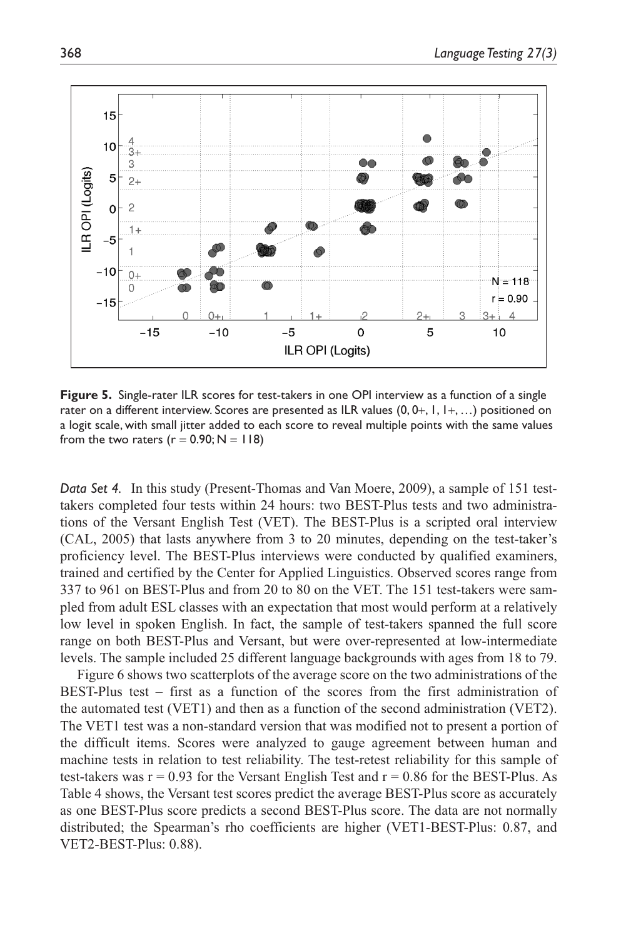

**Figure 5.** Single-rater ILR scores for test-takers in one OPI interview as a function of a single rater on a different interview. Scores are presented as ILR values  $(0, 0+, 1, 1+, ...)$  positioned on a logit scale, with small jitter added to each score to reveal multiple points with the same values from the two raters  $(r = 0.90; N = 118)$ 

*Data Set 4.* In this study (Present-Thomas and Van Moere, 2009), a sample of 151 testtakers completed four tests within 24 hours: two BEST-Plus tests and two administrations of the Versant English Test (VET). The BEST-Plus is a scripted oral interview (CAL, 2005) that lasts anywhere from 3 to 20 minutes, depending on the test-taker's proficiency level. The BEST-Plus interviews were conducted by qualified examiners, trained and certified by the Center for Applied Linguistics. Observed scores range from 337 to 961 on BEST-Plus and from 20 to 80 on the VET. The 151 test-takers were sampled from adult ESL classes with an expectation that most would perform at a relatively low level in spoken English. In fact, the sample of test-takers spanned the full score range on both BEST-Plus and Versant, but were over-represented at low-intermediate levels. The sample included 25 different language backgrounds with ages from 18 to 79.

Figure 6 shows two scatterplots of the average score on the two administrations of the BEST-Plus test – first as a function of the scores from the first administration of the automated test (VET1) and then as a function of the second administration (VET2). The VET1 test was a non-standard version that was modified not to present a portion of the difficult items. Scores were analyzed to gauge agreement between human and machine tests in relation to test reliability. The test-retest reliability for this sample of test-takers was  $r = 0.93$  for the Versant English Test and  $r = 0.86$  for the BEST-Plus. As Table 4 shows, the Versant test scores predict the average BEST-Plus score as accurately as one BEST-Plus score predicts a second BEST-Plus score. The data are not normally distributed; the Spearman's rho coefficients are higher (VET1-BEST-Plus: 0.87, and VET2-BEST-Plus: 0.88).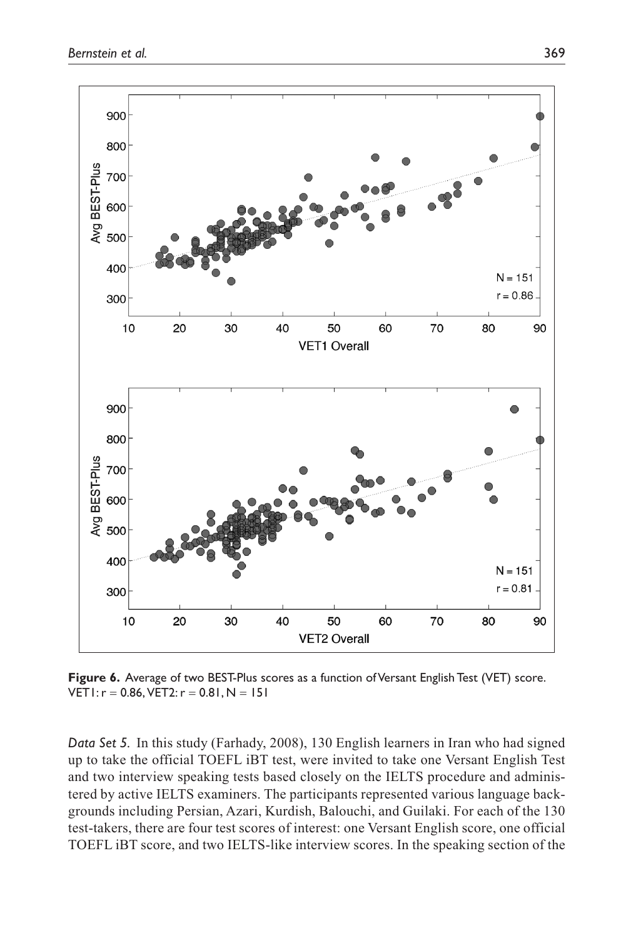

Figure 6. Average of two BEST-Plus scores as a function of Versant English Test (VET) score.  $VET1: r = 0.86, VET2: r = 0.81, N = 151$ 

*Data Set 5.* In this study (Farhady, 2008), 130 English learners in Iran who had signed up to take the official TOEFL iBT test, were invited to take one Versant English Test and two interview speaking tests based closely on the IELTS procedure and administered by active IELTS examiners. The participants represented various language backgrounds including Persian, Azari, Kurdish, Balouchi, and Guilaki. For each of the 130 test-takers, there are four test scores of interest: one Versant English score, one official TOEFL iBT score, and two IELTS-like interview scores. In the speaking section of the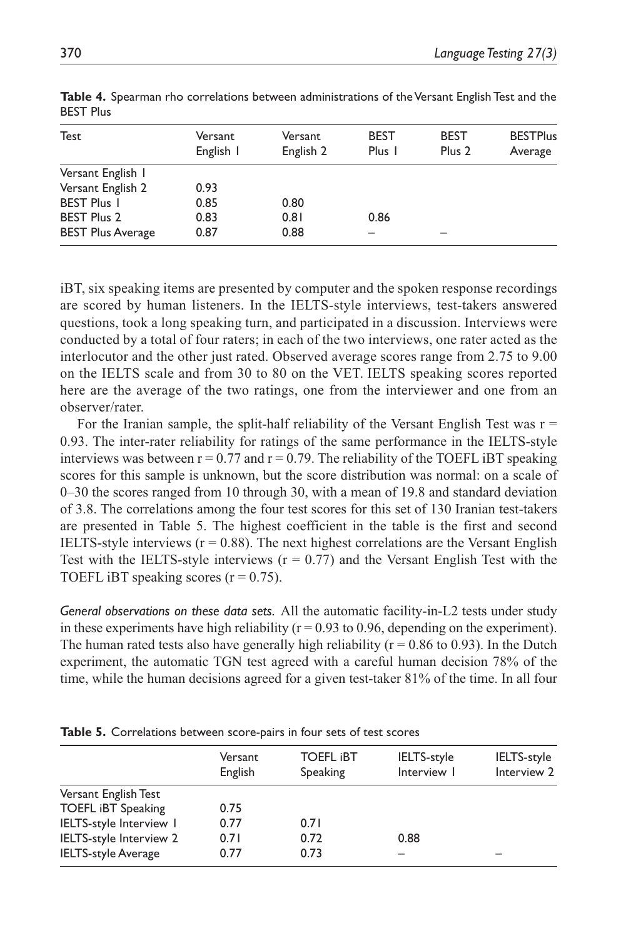| <b>Test</b>              | Versant<br>English I | Versant<br>English 2 | <b>BEST</b><br>Plus I | <b>BEST</b><br>Plus <sub>2</sub> | <b>BESTPlus</b><br>Average |
|--------------------------|----------------------|----------------------|-----------------------|----------------------------------|----------------------------|
| Versant English I        |                      |                      |                       |                                  |                            |
| Versant English 2        | 0.93                 |                      |                       |                                  |                            |
| <b>BEST Plus I</b>       | 0.85                 | 0.80                 |                       |                                  |                            |
| <b>BEST Plus 2</b>       | 0.83                 | 0.81                 | 0.86                  |                                  |                            |
| <b>BEST Plus Average</b> | 0.87                 | 0.88                 |                       |                                  |                            |

**Table 4.** Spearman rho correlations between administrations of the Versant English Test and the BEST Plus

iBT, six speaking items are presented by computer and the spoken response recordings are scored by human listeners. In the IELTS-style interviews, test-takers answered questions, took a long speaking turn, and participated in a discussion. Interviews were conducted by a total of four raters; in each of the two interviews, one rater acted as the interlocutor and the other just rated. Observed average scores range from 2.75 to 9.00 on the IELTS scale and from 30 to 80 on the VET. IELTS speaking scores reported here are the average of the two ratings, one from the interviewer and one from an observer/rater.

For the Iranian sample, the split-half reliability of the Versant English Test was  $r =$ 0.93. The inter-rater reliability for ratings of the same performance in the IELTS-style interviews was between  $r = 0.77$  and  $r = 0.79$ . The reliability of the TOEFL iBT speaking scores for this sample is unknown, but the score distribution was normal: on a scale of 0–30 the scores ranged from 10 through 30, with a mean of 19.8 and standard deviation of 3.8. The correlations among the four test scores for this set of 130 Iranian test-takers are presented in Table 5. The highest coefficient in the table is the first and second IELTS-style interviews  $(r = 0.88)$ . The next highest correlations are the Versant English Test with the IELTS-style interviews  $(r = 0.77)$  and the Versant English Test with the TOEFL iBT speaking scores  $(r = 0.75)$ .

*General observations on these data sets.* All the automatic facility-in-L2 tests under study in these experiments have high reliability ( $r = 0.93$  to 0.96, depending on the experiment). The human rated tests also have generally high reliability ( $r = 0.86$  to 0.93). In the Dutch experiment, the automatic TGN test agreed with a careful human decision 78% of the time, while the human decisions agreed for a given test-taker 81% of the time. In all four

|                                | Versant<br>English | <b>TOEFL IBT</b><br>Speaking | <b>IELTS-style</b><br>Interview I | <b>IELTS-style</b><br>Interview 2 |
|--------------------------------|--------------------|------------------------------|-----------------------------------|-----------------------------------|
|                                |                    |                              |                                   |                                   |
| Versant English Test           |                    |                              |                                   |                                   |
| <b>TOEFL IBT Speaking</b>      | 0.75               |                              |                                   |                                   |
| <b>IELTS-style Interview I</b> | 0.77               | 0.71                         |                                   |                                   |
| <b>IELTS-style Interview 2</b> | 0.71               | 0.72                         | 0.88                              |                                   |
| <b>IELTS-style Average</b>     | 0.77               | 0.73                         |                                   |                                   |

**Table 5.** Correlations between score-pairs in four sets of test scores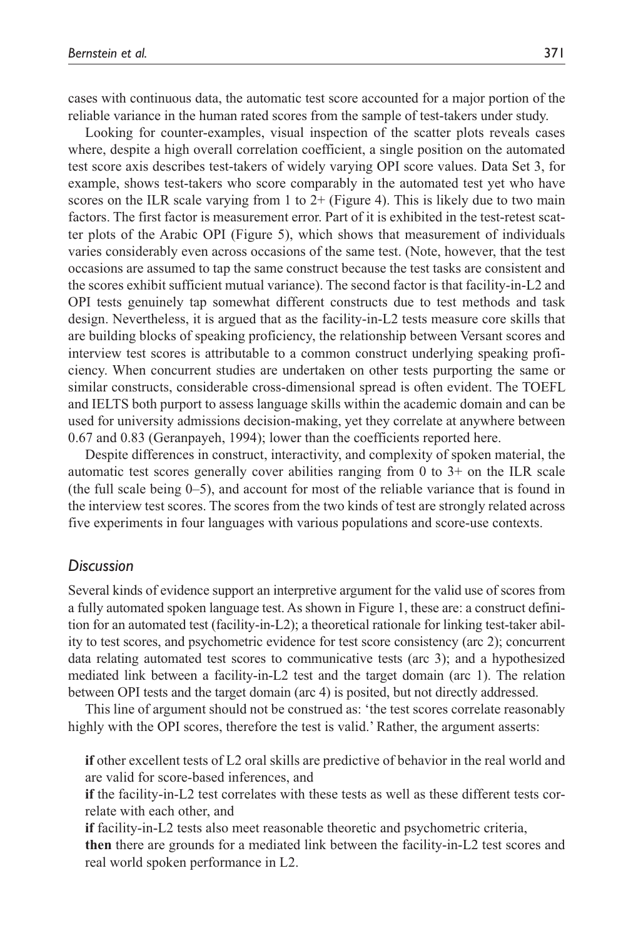cases with continuous data, the automatic test score accounted for a major portion of the reliable variance in the human rated scores from the sample of test-takers under study.

Looking for counter-examples, visual inspection of the scatter plots reveals cases where, despite a high overall correlation coefficient, a single position on the automated test score axis describes test-takers of widely varying OPI score values. Data Set 3, for example, shows test-takers who score comparably in the automated test yet who have scores on the ILR scale varying from 1 to  $2+$  (Figure 4). This is likely due to two main factors. The first factor is measurement error. Part of it is exhibited in the test-retest scatter plots of the Arabic OPI (Figure 5), which shows that measurement of individuals varies considerably even across occasions of the same test. (Note, however, that the test occasions are assumed to tap the same construct because the test tasks are consistent and the scores exhibit sufficient mutual variance). The second factor is that facility-in-L2 and OPI tests genuinely tap somewhat different constructs due to test methods and task design. Nevertheless, it is argued that as the facility-in-L2 tests measure core skills that are building blocks of speaking proficiency, the relationship between Versant scores and interview test scores is attributable to a common construct underlying speaking proficiency. When concurrent studies are undertaken on other tests purporting the same or similar constructs, considerable cross-dimensional spread is often evident. The TOEFL and IELTS both purport to assess language skills within the academic domain and can be used for university admissions decision-making, yet they correlate at anywhere between 0.67 and 0.83 (Geranpayeh, 1994); lower than the coefficients reported here.

Despite differences in construct, interactivity, and complexity of spoken material, the automatic test scores generally cover abilities ranging from 0 to  $3+$  on the ILR scale (the full scale being 0–5), and account for most of the reliable variance that is found in the interview test scores. The scores from the two kinds of test are strongly related across five experiments in four languages with various populations and score-use contexts.

### *Discussion*

Several kinds of evidence support an interpretive argument for the valid use of scores from a fully automated spoken language test. As shown in Figure 1, these are: a construct definition for an automated test (facility-in-L2); a theoretical rationale for linking test-taker ability to test scores, and psychometric evidence for test score consistency (arc 2); concurrent data relating automated test scores to communicative tests (arc 3); and a hypothesized mediated link between a facility-in-L2 test and the target domain (arc 1). The relation between OPI tests and the target domain (arc 4) is posited, but not directly addressed.

This line of argument should not be construed as: 'the test scores correlate reasonably highly with the OPI scores, therefore the test is valid.' Rather, the argument asserts:

**if** other excellent tests of L2 oral skills are predictive of behavior in the real world and are valid for score-based inferences, and

**if** the facility-in-L2 test correlates with these tests as well as these different tests correlate with each other, and

**if** facility-in-L2 tests also meet reasonable theoretic and psychometric criteria,

**then** there are grounds for a mediated link between the facility-in-L2 test scores and real world spoken performance in L2.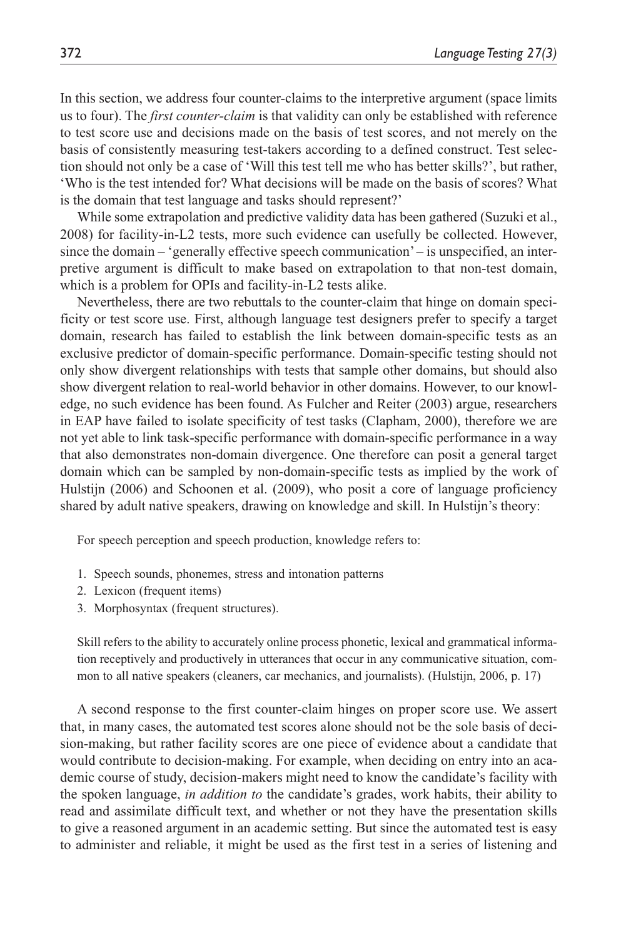In this section, we address four counter-claims to the interpretive argument (space limits us to four). The *first counter-claim* is that validity can only be established with reference to test score use and decisions made on the basis of test scores, and not merely on the basis of consistently measuring test-takers according to a defined construct. Test selection should not only be a case of 'Will this test tell me who has better skills?', but rather, 'Who is the test intended for? What decisions will be made on the basis of scores? What is the domain that test language and tasks should represent?'

While some extrapolation and predictive validity data has been gathered (Suzuki et al., 2008) for facility-in-L2 tests, more such evidence can usefully be collected. However, since the domain – 'generally effective speech communication' – is unspecified, an interpretive argument is difficult to make based on extrapolation to that non-test domain, which is a problem for OPIs and facility-in-L2 tests alike.

Nevertheless, there are two rebuttals to the counter-claim that hinge on domain specificity or test score use. First, although language test designers prefer to specify a target domain, research has failed to establish the link between domain-specific tests as an exclusive predictor of domain-specific performance. Domain-specific testing should not only show divergent relationships with tests that sample other domains, but should also show divergent relation to real-world behavior in other domains. However, to our knowledge, no such evidence has been found. As Fulcher and Reiter (2003) argue, researchers in EAP have failed to isolate specificity of test tasks (Clapham, 2000), therefore we are not yet able to link task-specific performance with domain-specific performance in a way that also demonstrates non-domain divergence. One therefore can posit a general target domain which can be sampled by non-domain-specific tests as implied by the work of Hulstijn (2006) and Schoonen et al. (2009), who posit a core of language proficiency shared by adult native speakers, drawing on knowledge and skill. In Hulstijn's theory:

For speech perception and speech production, knowledge refers to:

- 1. Speech sounds, phonemes, stress and intonation patterns
- 2. Lexicon (frequent items)
- 3. Morphosyntax (frequent structures).

Skill refers to the ability to accurately online process phonetic, lexical and grammatical information receptively and productively in utterances that occur in any communicative situation, common to all native speakers (cleaners, car mechanics, and journalists). (Hulstijn, 2006, p. 17)

A second response to the first counter-claim hinges on proper score use. We assert that, in many cases, the automated test scores alone should not be the sole basis of decision-making, but rather facility scores are one piece of evidence about a candidate that would contribute to decision-making. For example, when deciding on entry into an academic course of study, decision-makers might need to know the candidate's facility with the spoken language, *in addition to* the candidate's grades, work habits, their ability to read and assimilate difficult text, and whether or not they have the presentation skills to give a reasoned argument in an academic setting. But since the automated test is easy to administer and reliable, it might be used as the first test in a series of listening and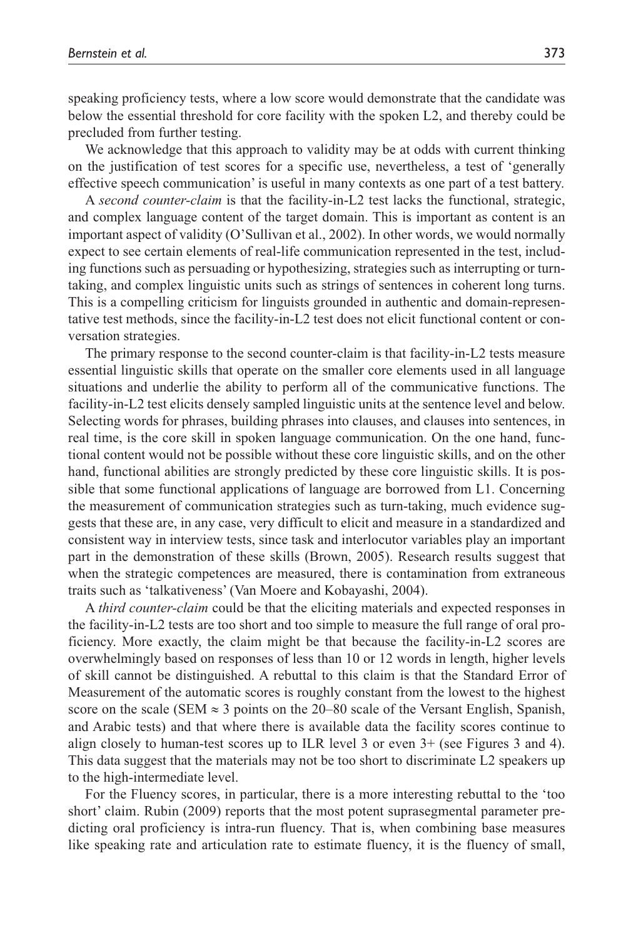speaking proficiency tests, where a low score would demonstrate that the candidate was below the essential threshold for core facility with the spoken L2, and thereby could be precluded from further testing.

We acknowledge that this approach to validity may be at odds with current thinking on the justification of test scores for a specific use, nevertheless, a test of 'generally effective speech communication' is useful in many contexts as one part of a test battery.

A *second counter-claim* is that the facility-in-L2 test lacks the functional, strategic, and complex language content of the target domain. This is important as content is an important aspect of validity (O'Sullivan et al., 2002). In other words, we would normally expect to see certain elements of real-life communication represented in the test, including functions such as persuading or hypothesizing, strategies such as interrupting or turntaking, and complex linguistic units such as strings of sentences in coherent long turns. This is a compelling criticism for linguists grounded in authentic and domain-representative test methods, since the facility-in-L2 test does not elicit functional content or conversation strategies.

The primary response to the second counter-claim is that facility-in-L2 tests measure essential linguistic skills that operate on the smaller core elements used in all language situations and underlie the ability to perform all of the communicative functions. The facility-in-L2 test elicits densely sampled linguistic units at the sentence level and below. Selecting words for phrases, building phrases into clauses, and clauses into sentences, in real time, is the core skill in spoken language communication. On the one hand, functional content would not be possible without these core linguistic skills, and on the other hand, functional abilities are strongly predicted by these core linguistic skills. It is possible that some functional applications of language are borrowed from L1. Concerning the measurement of communication strategies such as turn-taking, much evidence suggests that these are, in any case, very difficult to elicit and measure in a standardized and consistent way in interview tests, since task and interlocutor variables play an important part in the demonstration of these skills (Brown, 2005). Research results suggest that when the strategic competences are measured, there is contamination from extraneous traits such as 'talkativeness' (Van Moere and Kobayashi, 2004).

A *third counter-claim* could be that the eliciting materials and expected responses in the facility-in-L2 tests are too short and too simple to measure the full range of oral proficiency. More exactly, the claim might be that because the facility-in-L2 scores are overwhelmingly based on responses of less than 10 or 12 words in length, higher levels of skill cannot be distinguished. A rebuttal to this claim is that the Standard Error of Measurement of the automatic scores is roughly constant from the lowest to the highest score on the scale (SEM  $\approx$  3 points on the 20–80 scale of the Versant English, Spanish, and Arabic tests) and that where there is available data the facility scores continue to align closely to human-test scores up to ILR level 3 or even 3+ (see Figures 3 and 4). This data suggest that the materials may not be too short to discriminate L2 speakers up to the high-intermediate level.

For the Fluency scores, in particular, there is a more interesting rebuttal to the 'too short' claim. Rubin (2009) reports that the most potent suprasegmental parameter predicting oral proficiency is intra-run fluency. That is, when combining base measures like speaking rate and articulation rate to estimate fluency, it is the fluency of small,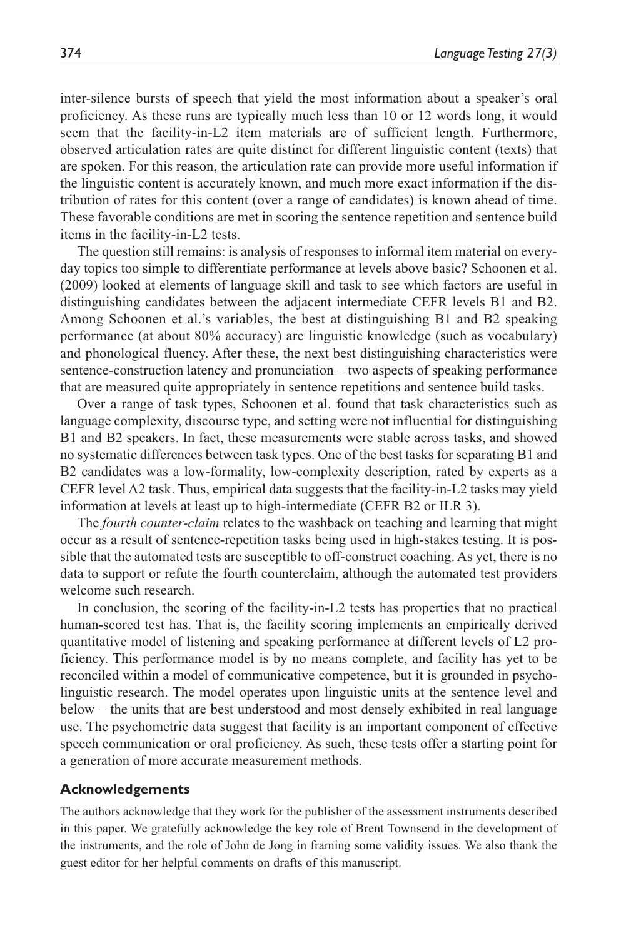inter-silence bursts of speech that yield the most information about a speaker's oral proficiency. As these runs are typically much less than 10 or 12 words long, it would seem that the facility-in-L2 item materials are of sufficient length. Furthermore, observed articulation rates are quite distinct for different linguistic content (texts) that are spoken. For this reason, the articulation rate can provide more useful information if the linguistic content is accurately known, and much more exact information if the distribution of rates for this content (over a range of candidates) is known ahead of time. These favorable conditions are met in scoring the sentence repetition and sentence build items in the facility-in-L2 tests.

The question still remains: is analysis of responses to informal item material on everyday topics too simple to differentiate performance at levels above basic? Schoonen et al. (2009) looked at elements of language skill and task to see which factors are useful in distinguishing candidates between the adjacent intermediate CEFR levels B1 and B2. Among Schoonen et al.'s variables, the best at distinguishing B1 and B2 speaking performance (at about 80% accuracy) are linguistic knowledge (such as vocabulary) and phonological fluency. After these, the next best distinguishing characteristics were sentence-construction latency and pronunciation – two aspects of speaking performance that are measured quite appropriately in sentence repetitions and sentence build tasks.

Over a range of task types, Schoonen et al. found that task characteristics such as language complexity, discourse type, and setting were not influential for distinguishing B1 and B2 speakers. In fact, these measurements were stable across tasks, and showed no systematic differences between task types. One of the best tasks for separating B1 and B2 candidates was a low-formality, low-complexity description, rated by experts as a CEFR level A2 task. Thus, empirical data suggests that the facility-in-L2 tasks may yield information at levels at least up to high-intermediate (CEFR B2 or ILR 3).

The *fourth counter-claim* relates to the washback on teaching and learning that might occur as a result of sentence-repetition tasks being used in high-stakes testing. It is possible that the automated tests are susceptible to off-construct coaching. As yet, there is no data to support or refute the fourth counterclaim, although the automated test providers welcome such research.

In conclusion, the scoring of the facility-in-L2 tests has properties that no practical human-scored test has. That is, the facility scoring implements an empirically derived quantitative model of listening and speaking performance at different levels of L2 proficiency. This performance model is by no means complete, and facility has yet to be reconciled within a model of communicative competence, but it is grounded in psycholinguistic research. The model operates upon linguistic units at the sentence level and below – the units that are best understood and most densely exhibited in real language use. The psychometric data suggest that facility is an important component of effective speech communication or oral proficiency. As such, these tests offer a starting point for a generation of more accurate measurement methods.

#### **Acknowledgements**

The authors acknowledge that they work for the publisher of the assessment instruments described in this paper. We gratefully acknowledge the key role of Brent Townsend in the development of the instruments, and the role of John de Jong in framing some validity issues. We also thank the guest editor for her helpful comments on drafts of this manuscript.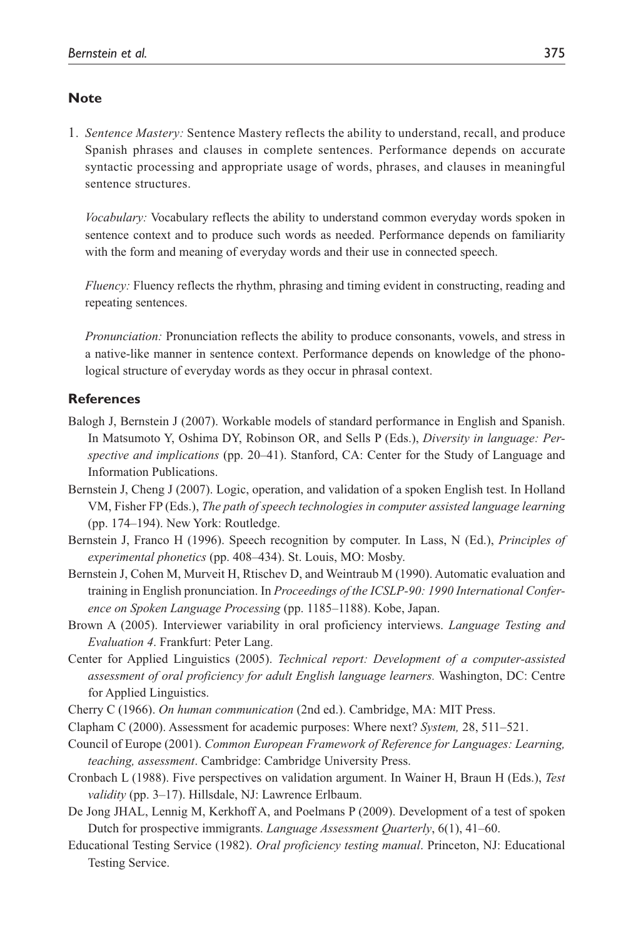### **Note**

1. *Sentence Mastery:* Sentence Mastery reflects the ability to understand, recall, and produce Spanish phrases and clauses in complete sentences. Performance depends on accurate syntactic processing and appropriate usage of words, phrases, and clauses in meaningful sentence structures.

*Vocabulary:* Vocabulary reflects the ability to understand common everyday words spoken in sentence context and to produce such words as needed. Performance depends on familiarity with the form and meaning of everyday words and their use in connected speech.

*Fluency:* Fluency reflects the rhythm, phrasing and timing evident in constructing, reading and repeating sentences.

*Pronunciation:* Pronunciation reflects the ability to produce consonants, vowels, and stress in a native-like manner in sentence context. Performance depends on knowledge of the phonological structure of everyday words as they occur in phrasal context.

#### **References**

- Balogh J, Bernstein J (2007). Workable models of standard performance in English and Spanish. In Matsumoto Y, Oshima DY, Robinson OR, and Sells P (Eds.), *Diversity in language: Perspective and implications* (pp. 20–41). Stanford, CA: Center for the Study of Language and Information Publications.
- Bernstein J, Cheng J (2007). Logic, operation, and validation of a spoken English test. In Holland VM, Fisher FP (Eds.), *The path of speech technologies in computer assisted language learning* (pp. 174–194). New York: Routledge.
- Bernstein J, Franco H (1996). Speech recognition by computer. In Lass, N (Ed.), *Principles of experimental phonetics* (pp. 408–434). St. Louis, MO: Mosby.
- Bernstein J, Cohen M, Murveit H, Rtischev D, and Weintraub M (1990). Automatic evaluation and training in English pronunciation. In *Proceedings of the ICSLP-90: 1990 International Conference on Spoken Language Processing* (pp. 1185–1188). Kobe, Japan.
- Brown A (2005). Interviewer variability in oral proficiency interviews. *Language Testing and Evaluation 4*. Frankfurt: Peter Lang.
- Center for Applied Linguistics (2005). *Technical report: Development of a computer-assisted assessment of oral proficiency for adult English language learners.* Washington, DC: Centre for Applied Linguistics.
- Cherry C (1966). *On human communication* (2nd ed.). Cambridge, MA: MIT Press.
- Clapham C (2000). Assessment for academic purposes: Where next? *System,* 28, 511–521.
- Council of Europe (2001). *Common European Framework of Reference for Languages: Learning, teaching, assessment*. Cambridge: Cambridge University Press.
- Cronbach L (1988). Five perspectives on validation argument. In Wainer H, Braun H (Eds.), *Test validity* (pp. 3–17). Hillsdale, NJ: Lawrence Erlbaum.
- De Jong JHAL, Lennig M, Kerkhoff A, and Poelmans P (2009). Development of a test of spoken Dutch for prospective immigrants. *Language Assessment Quarterly*, 6(1), 41–60.
- Educational Testing Service (1982). *Oral proficiency testing manual*. Princeton, NJ: Educational Testing Service.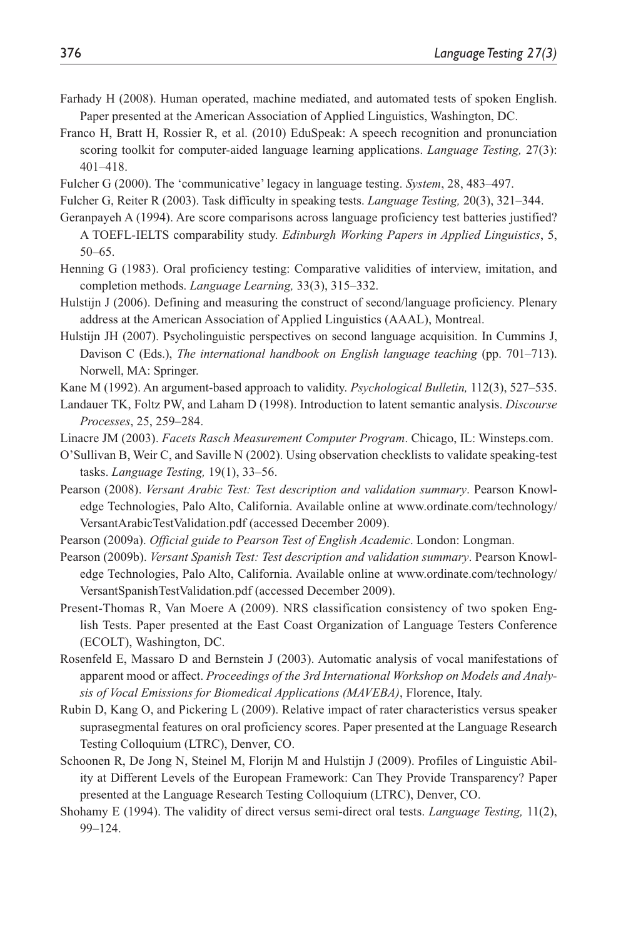- Farhady H (2008). Human operated, machine mediated, and automated tests of spoken English. Paper presented at the American Association of Applied Linguistics, Washington, DC.
- Franco H, Bratt H, Rossier R, et al. (2010) EduSpeak: A speech recognition and pronunciation scoring toolkit for computer-aided language learning applications. *Language Testing,* 27(3): 401–418.
- Fulcher G (2000). The 'communicative' legacy in language testing. *System*, 28, 483–497.
- Fulcher G, Reiter R (2003). Task difficulty in speaking tests. *Language Testing,* 20(3), 321–344.
- Geranpayeh A (1994). Are score comparisons across language proficiency test batteries justified? A TOEFL-IELTS comparability study. *Edinburgh Working Papers in Applied Linguistics*, 5, 50–65.
- Henning G (1983). Oral proficiency testing: Comparative validities of interview, imitation, and completion methods. *Language Learning,* 33(3), 315–332.
- Hulstijn J (2006). Defining and measuring the construct of second/language proficiency. Plenary address at the American Association of Applied Linguistics (AAAL), Montreal.
- Hulstijn JH (2007). Psycholinguistic perspectives on second language acquisition. In Cummins J, Davison C (Eds.), *The international handbook on English language teaching* (pp. 701–713). Norwell, MA: Springer.
- Kane M (1992). An argument-based approach to validity. *Psychological Bulletin,* 112(3), 527–535.
- Landauer TK, Foltz PW, and Laham D (1998). Introduction to latent semantic analysis. *Discourse Processes*, 25, 259–284.
- Linacre JM (2003). *Facets Rasch Measurement Computer Program*. Chicago, IL: Winsteps.com.
- O'Sullivan B, Weir C, and Saville N (2002). Using observation checklists to validate speaking-test tasks. *Language Testing,* 19(1), 33–56.
- Pearson (2008). *Versant Arabic Test: Test description and validation summary*. Pearson Knowledge Technologies, Palo Alto, California. Available online at www.ordinate.com/technology/ VersantArabicTestValidation.pdf (accessed December 2009).
- Pearson (2009a). *Official guide to Pearson Test of English Academic*. London: Longman.
- Pearson (2009b). *Versant Spanish Test: Test description and validation summary*. Pearson Knowledge Technologies, Palo Alto, California. Available online at www.ordinate.com/technology/ VersantSpanishTestValidation.pdf (accessed December 2009).
- Present-Thomas R, Van Moere A (2009). NRS classification consistency of two spoken English Tests. Paper presented at the East Coast Organization of Language Testers Conference (ECOLT), Washington, DC.
- Rosenfeld E, Massaro D and Bernstein J (2003). Automatic analysis of vocal manifestations of apparent mood or affect. *Proceedings of the 3rd International Workshop on Models and Analysis of Vocal Emissions for Biomedical Applications (MAVEBA)*, Florence, Italy.
- Rubin D, Kang O, and Pickering L (2009). Relative impact of rater characteristics versus speaker suprasegmental features on oral proficiency scores. Paper presented at the Language Research Testing Colloquium (LTRC), Denver, CO.
- Schoonen R, De Jong N, Steinel M, Florijn M and Hulstijn J (2009). Profiles of Linguistic Ability at Different Levels of the European Framework: Can They Provide Transparency? Paper presented at the Language Research Testing Colloquium (LTRC), Denver, CO.
- Shohamy E (1994). The validity of direct versus semi-direct oral tests. *Language Testing,* 11(2), 99–124.